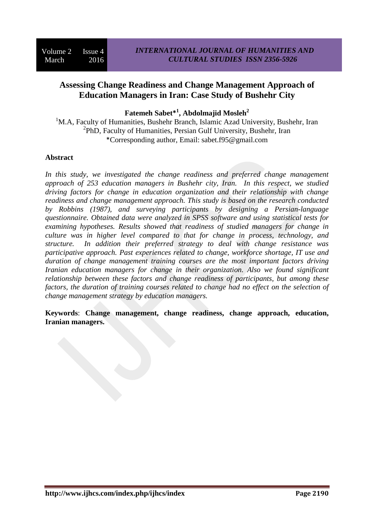# **Assessing Change Readiness and Change Management Approach of Education Managers in Iran: Case Study of Bushehr City**

**Fatemeh Sabet\* 1 , Abdolmajid Mosleh<sup>2</sup>**

<sup>1</sup>M.A, Faculty of Humanities, Bushehr Branch, Islamic Azad University, Bushehr, Iran <sup>2</sup>PhD, Faculty of Humanities, Persian Gulf University, Bushehr, Iran \*Corresponding author, Email: sabet.f95@gmail.com

# **Abstract**

*In this study, we investigated the change readiness and preferred change management approach of 253 education managers in Bushehr city, Iran. In this respect, we studied driving factors for change in education organization and their relationship with change readiness and change management approach. This study is based on the research conducted by Robbins (1987), and surveying participants by designing a Persian-language questionnaire. Obtained data were analyzed in SPSS software and using statistical tests for examining hypotheses. Results showed that readiness of studied managers for change in culture was in higher level compared to that for change in process, technology, and structure. In addition their preferred strategy to deal with change resistance was participative approach. Past experiences related to change, workforce shortage, IT use and duration of change management training courses are the most important factors driving Iranian education managers for change in their organization. Also we found significant relationship between these factors and change readiness of participants, but among these factors, the duration of training courses related to change had no effect on the selection of change management strategy by education managers.*

**Keywords**: **Change management, change readiness, change approach, education, Iranian managers.**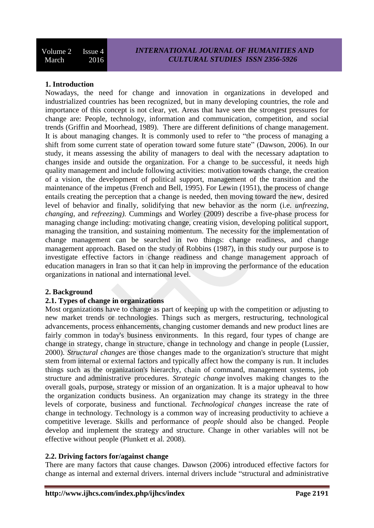## **1. Introduction**

Nowadays, the need for change and innovation in organizations in developed and industrialized countries has been recognized, but in many developing countries, the role and importance of this concept is not clear, yet. Areas that have seen the strongest pressures for change are: People, technology, information and communication, competition, and social trends (Griffin and Moorhead, 1989). There are different definitions of change management. It is about managing changes. It is commonly used to refer to "the process of managing a shift from some current state of operation toward some future state" (Dawson, 2006). In our study, it means assessing the ability of managers to deal with the necessary adaptation to changes inside and outside the organization. For a change to be successful, it needs high quality management and include following activities: motivation towards change, the creation of a vision, the development of political support, management of the transition and the maintenance of the impetus (French and Bell, 1995). For Lewin (1951), the process of change entails creating the perception that a change is needed, then moving toward the new, desired level of behavior and finally, solidifying that new behavior as the norm (i.e. *unfreezing*, *changing*, and *refreezing).* Cummings and Worley (2009) describe a five-phase process for managing change including: motivating change, creating vision, developing political support, managing the transition, and sustaining momentum. The necessity for the implementation of change management can be searched in two things: change readiness, and change management approach. Based on the study of Robbins (1987), in this study our purpose is to investigate effective factors in change readiness and change management approach of education managers in Iran so that it can help in improving the performance of the education organizations in national and international level.

#### **2. Background**

#### **2.1. Types of change in organizations**

Most organizations have to change as part of keeping up with the competition or adjusting to new market trends or technologies. Things such as mergers, restructuring, technological advancements, process enhancements, changing customer demands and new product lines are fairly common in today's business environments. In this regard, four types of change are change in strategy, change in structure, change in technology and change in people (Lussier, 2000). *Structural changes* are those changes made to the organization's structure that might stem from internal or external factors and typically affect how the company is run. It includes things such as the organization's hierarchy, chain of command, management systems, job structure and administrative procedures. *Strategic change* involves making changes to the overall goals, purpose, strategy or mission of an organization. It is a major upheaval to how the organization conducts business. An organization may change its strategy in the three levels of corporate, business and functional*. Technological changes* increase the rate of change in technology. Technology is a common way of increasing productivity to achieve a competitive leverage. Skills and performance of *people* should also be changed. People develop and implement the strategy and structure. Change in other variables will not be effective without people (Plunkett et al. 2008).

### **2.2. Driving factors for/against change**

There are many factors that cause changes. Dawson (2006) introduced effective factors for change as internal and external drivers. internal drivers include "structural and administrative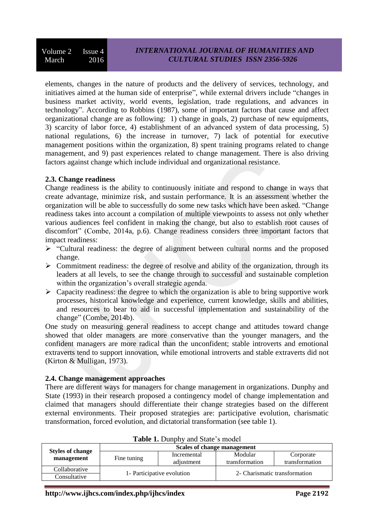elements, changes in the nature of products and the delivery of services, technology, and initiatives aimed at the human side of enterprise", while external drivers include "changes in business market activity, world events, legislation, trade regulations, and advances in technology". According to Robbins (1987), some of important factors that cause and affect organizational change are as following: 1) change in goals, 2) purchase of new equipments, 3) scarcity of labor force, 4) establishment of an advanced system of data processing, 5) national regulations, 6) the increase in turnover, 7) lack of potential for executive management positions within the organization, 8) spent training programs related to change management, and 9) past experiences related to change management. There is also driving factors against change which include individual and organizational resistance.

# **2.3. Change readiness**

Change readiness is the ability to continuously initiate and respond to change in ways that create advantage, minimize risk, and sustain performance. It is an assessment whether the organization will be able to successfully do some new tasks which have been asked. "Change readiness takes into account a compilation of multiple viewpoints to assess not only whether various audiences feel confident in making the change, but also to establish root causes of discomfort" (Combe, 2014a, p.6). Change readiness considers three important factors that impact readiness:

- "Cultural readiness: the degree of alignment between cultural norms and the proposed change.
- $\triangleright$  Commitment readiness: the degree of resolve and ability of the organization, through its leaders at all levels, to see the change through to successful and sustainable completion within the organization's overall strategic agenda.
- $\triangleright$  Capacity readiness: the degree to which the organization is able to bring supportive work processes, historical knowledge and experience, current knowledge, skills and abilities, and resources to bear to aid in successful implementation and sustainability of the change" (Combe, 2014b).

One study on measuring general readiness to accept change and attitudes toward change showed that older managers are more conservative than the younger managers, and the confident managers are more radical than the unconfident; stable introverts and emotional extraverts tend to support innovation, while emotional introverts and stable extraverts did not (Kirton & Mulligan, 1973).

# **2.4. Change management approaches**

There are different ways for managers for change management in organizations. Dunphy and State (1993) in their research proposed a contingency model of change implementation and claimed that managers should differentiate their change strategies based on the different external environments. Their proposed strategies are: participative evolution, charismatic transformation, forced evolution, and dictatorial transformation (see table 1).

|                                       | Scales of change management |                           |                               |                             |  |
|---------------------------------------|-----------------------------|---------------------------|-------------------------------|-----------------------------|--|
| <b>Styles of change</b><br>management | Fine tuning                 | Incremental<br>adjustment | Modular<br>transformation     | Corporate<br>transformation |  |
| Collaborative                         | 1- Participative evolution  |                           |                               |                             |  |
| Consultative                          |                             |                           | 2- Charismatic transformation |                             |  |

**Table 1.** Dunphy and State's model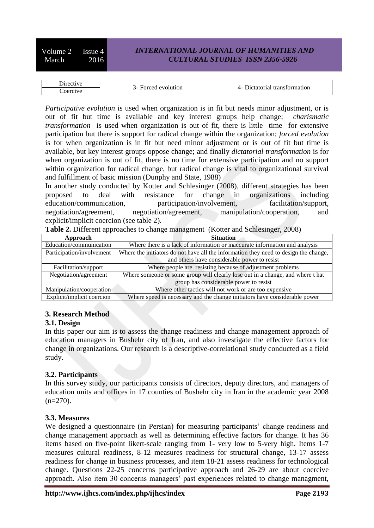Volume 2 Issue 4 March 2016

# *INTERNATIONAL JOURNAL OF HUMANITIES AND CULTURAL STUDIES ISSN 2356-5926*

| $\sim$ $\sim$ $\sim$<br>$\cdots$ | $\mathbf{r}$<br>$+$ 44 $\alpha$ + $\alpha$ + $\alpha$ + 44 $\alpha$ + $\alpha$ +<br>$\sim$ $\sim$<br>. |  |
|----------------------------------|--------------------------------------------------------------------------------------------------------|--|
| aor<br>יי<br>. .<br>.<br>.       |                                                                                                        |  |

*Participative evolution* is used when organization is in fit but needs minor adjustment, or is out of fit but time is available and key interest groups help change; *charismatic transformation* is used when organization is out of fit, there is little time for extensive participation but there is support for radical change within the organization; *forced evolution* is for when organization is in fit but need minor adjustment or is out of fit but time is available, but key interest groups oppose change; and finally *dictatorial transformation* is for when organization is out of fit, there is no time for extensive participation and no support within organization for radical change, but radical change is vital to organizational survival and fulfillment of basic mission (Dunphy and State, 1988)

In another study conducted by Kotter and Schlesinger (2008), different strategies has been proposed to deal with resistance for change in organizations including education/communication, participation/involvement, facilitation/support, negotiation/agreement, negotiation/agreement, manipulation/cooperation, and explicit/implicit coercion (see table 2).

| Approach                   | <b>Situation</b>                                                                     |  |  |
|----------------------------|--------------------------------------------------------------------------------------|--|--|
| Education/communication    | Where there is a lack of information or inaccurate information and analysis          |  |  |
| Participation/involvement  | Where the initiators do not have all the information they need to design the change, |  |  |
|                            | and others have considerable power to resist                                         |  |  |
| Facilitation/support       | Where people are resisting because of adjustment problems                            |  |  |
| Negotiation/agreement      | Where someone or some group will clearly lose out in a change, and where t hat       |  |  |
|                            | group has considerable power to resist                                               |  |  |
| Manipulation/cooperation   | Where other tactics will not work or are too expensive                               |  |  |
| Explicit/implicit coercion | Where speed is necessary and the change initiators have considerable power           |  |  |

**Table 2.** Different approaches to change managment (Kotter and Schlesinger, 2008)

## **3. Research Method**

#### **3.1. Design**

In this paper our aim is to assess the change readiness and change management approach of education managers in Bushehr city of Iran, and also investigate the effective factors for change in organizations. Our research is a descriptive-correlational study conducted as a field study.

#### **3.2. Participants**

In this survey study, our participants consists of directors, deputy directors, and managers of education units and offices in 17 counties of Bushehr city in Iran in the academic year 2008  $(n=270)$ .

#### **3.3. Measures**

We designed a questionnaire (in Persian) for measuring participants' change readiness and change management approach as well as determining effective factors for change. It has 36 items based on five-point likert-scale ranging from 1- very low to 5-very high. Items 1-7 measures cultural readiness, 8-12 measures readiness for structural change, 13-17 assess readiness for change in business processes, and item 18-21 assess readiness for technological change. Questions 22-25 concerns participative approach and 26-29 are about coercive approach. Also item 30 concerns managers' past experiences related to change managment,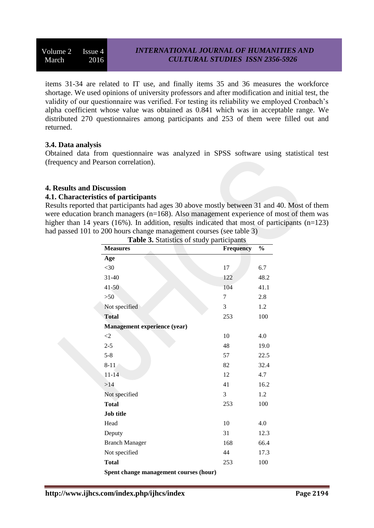Volume 2 Issue 4 March 2016

items 31-34 are related to IT use, and finally items 35 and 36 measures the workforce shortage. We used opinions of university professors and after modification and initial test, the validity of our questionnaire was verified. For testing its reliability we employed Cronbach's alpha coefficient whose value was obtained as 0.841 which was in acceptable range. We distributed 270 questionnaires among participants and 253 of them were filled out and returned.

## **3.4. Data analysis**

Obtained data from questionnaire was analyzed in SPSS software using statistical test (frequency and Pearson correlation).

## **4. Results and Discussion**

#### **4.1. Characteristics of participants**

Results reported that participants had ages 30 above mostly between 31 and 40. Most of them were education branch managers (n=168). Also management experience of most of them was higher than 14 years (16%). In addition, results indicated that most of participants (n=123) had passed 101 to 200 hours change management courses (see table 3)

| <b>Measures</b>                        | <b>Frequency</b> | $\frac{0}{0}$ |
|----------------------------------------|------------------|---------------|
| Age                                    |                  |               |
| $<$ 30                                 | 17               | 6.7           |
| 31-40                                  | 122              | 48.2          |
| $41 - 50$                              | 104              | 41.1          |
| $>50$                                  | 7                | 2.8           |
| Not specified                          | 3                | 1.2           |
| <b>Total</b>                           | 253              | 100           |
| Management experience (year)           |                  |               |
| $\leq$ 2                               | 10               | 4.0           |
| $2 - 5$                                | 48               | 19.0          |
| $5 - 8$                                | 57               | 22.5          |
| $8 - 11$                               | 82               | 32.4          |
| $11 - 14$                              | 12               | 4.7           |
| >14                                    | 41               | 16.2          |
| Not specified                          | 3                | 1.2           |
| <b>Total</b>                           | 253              | 100           |
| <b>Job title</b>                       |                  |               |
| Head                                   | 10               | 4.0           |
| Deputy                                 | 31               | 12.3          |
| <b>Branch Manager</b>                  | 168              | 66.4          |
| Not specified                          | 44               | 17.3          |
| <b>Total</b>                           | 253              | 100           |
| Spent change management courses (hour) |                  |               |

**Table 3.** Statistics of study participants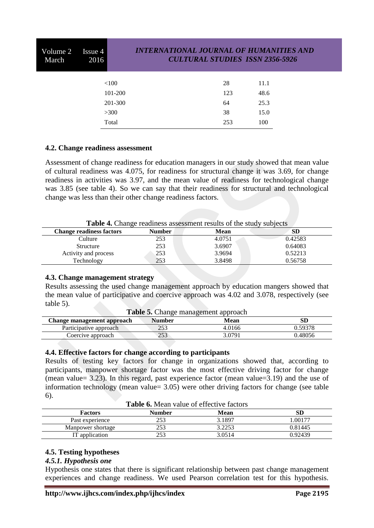| Volume 2<br>March | Issue 4<br>2016 |         | <b>INTERNATIONAL JOURNAL OF HUMANITIES AND</b><br><b>CULTURAL STUDIES ISSN 2356-5926</b> |      |  |  |
|-------------------|-----------------|---------|------------------------------------------------------------------------------------------|------|--|--|
|                   |                 | < 100   | 28                                                                                       | 11.1 |  |  |
|                   |                 | 101-200 | 123                                                                                      | 48.6 |  |  |
|                   |                 | 201-300 | 64                                                                                       | 25.3 |  |  |
|                   |                 | >300    | 38                                                                                       | 15.0 |  |  |
|                   |                 | Total   | 253                                                                                      | 100  |  |  |
|                   |                 |         |                                                                                          |      |  |  |

## **4.2. Change readiness assessment**

Assessment of change readiness for education managers in our study showed that mean value of cultural readiness was 4.075, for readiness for structural change it was 3.69, for change readiness in activities was 3.97, and the mean value of readiness for technological change was 3.85 (see table 4). So we can say that their readiness for structural and technological change was less than their other change readiness factors.

**Table 4.** Change readiness assessment results of the study subjects

| <b>Change readiness factors</b> | <b>Number</b> | Mean   | SD      |
|---------------------------------|---------------|--------|---------|
| Culture                         | 253           | 4.0751 | 0.42583 |
| Structure                       | 253           | 3.6907 | 0.64083 |
| Activity and process            | 253           | 3.9694 | 0.52213 |
| Technology                      | 253           | 3.8498 | 0.56758 |
|                                 |               |        |         |

#### **4.3. Change management strategy**

Results assessing the used change management approach by education mangers showed that the mean value of participative and coercive approach was 4.02 and 3.078, respectively (see table 5).

| <b>Table 5.</b> Change management approach |               |        |         |  |
|--------------------------------------------|---------------|--------|---------|--|
| Change management approach                 | <b>Number</b> | Mean   | SD      |  |
| Participative approach                     | 253           | 4.0166 | 0.59378 |  |
| Coercive approach                          | 253           | 3.0791 | 0.48056 |  |

#### **4.4. Effective factors for change according to participants**

Results of testing key factors for change in organizations showed that, according to participants, manpower shortage factor was the most effective driving factor for change (mean value= 3.23). In this regard, past experience factor (mean value=3.19) and the use of information technology (mean value= 3.05) were other driving factors for change (see table 6).

| <b>Table 6.</b> Mean value of effective factors |
|-------------------------------------------------|
|-------------------------------------------------|

|                   | A WAXA OF ITAGAHI TAHAGO OI GILOGAITO IMBAOLD |        |         |
|-------------------|-----------------------------------------------|--------|---------|
| <b>Factors</b>    | <b>Number</b>                                 | Mean   | SD      |
| Past experience   | 253                                           | 3.1897 | 1.00177 |
| Manpower shortage | 253                                           | 3.2253 | 0.81445 |
| IT application    | 253                                           | 3.0514 | 0.92439 |
|                   |                                               |        |         |

## **4.5. Testing hypotheses**

## *4.5.1. Hypothesis one*

Hypothesis one states that there is significant relationship between past change management experiences and change readiness. We used Pearson correlation test for this hypothesis.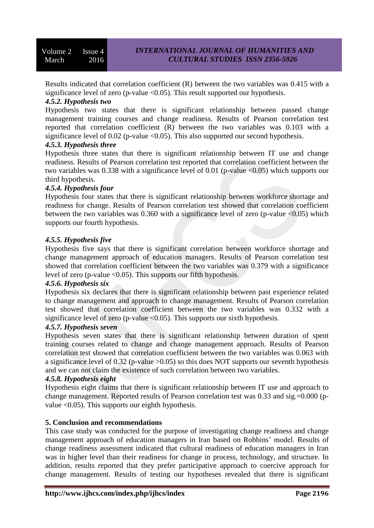Results indicated that correlation coefficient (R) between the two variables was 0.415 with a significance level of zero (p-value  $\langle 0.05 \rangle$ ). This result supported our hypothesis.

## *4.5.2. Hypothesis two*

Hypothesis two states that there is significant relationship between passed change management training courses and change readiness. Results of Pearson correlation test reported that correlation coefficient (R) between the two variables was 0.103 with a significance level of 0.02 (p-value  $\langle 0.05 \rangle$ ). This also supported our second hypothesis.

#### *4.5.3. Hypothesis three*

Hypothesis three states that there is significant relationship between IT use and change readiness. Results of Pearson correlation test reported that correlation coefficient between the two variables was 0.338 with a significance level of 0.01 (p-value  $\langle 0.05 \rangle$ ) which supports our third hypothesis.

## *4.5.4. Hypothesis four*

Hypothesis four states that there is significant relationship between workforce shortage and readiness for change. Results of Pearson correlation test showed that correlation coefficient between the two variables was  $0.360$  with a significance level of zero (p-value  $\langle 0.05 \rangle$ ) which supports our fourth hypothesis.

## *4.5.5. Hypothesis five*

Hypothesis five says that there is significant correlation between workforce shortage and change management approach of education managers. Results of Pearson correlation test showed that correlation coefficient between the two variables was 0.379 with a significance level of zero (p-value <0.05). This supports our fifth hypothesis.

#### *4.5.6. Hypothesis six*

Hypothesis six declares that there is significant relationship between past experience related to change management and approach to change management. Results of Pearson correlation test showed that correlation coefficient between the two variables was 0.332 with a significance level of zero (p-value  $\leq 0.05$ ). This supports our sixth hypothesis.

#### *4.5.7. Hypothesis seven*

Hypothesis seven states that there is significant relationship between duration of spent training courses related to change and change management approach. Results of Pearson correlation test showed that correlation coefficient between the two variables was 0.063 with a significance level of 0.32 (p-value  $>0.05$ ) so this does NOT supports our seventh hypothesis and we can not claim the existence of such correlation between two variables.

#### *4.5.8. Hypothesis eight*

Hypothesis eight claims that there is significant relationship between IT use and approach to change management. Reported results of Pearson correlation test was 0.33 and sig.=0.000 (pvalue  $\leq 0.05$ ). This supports our eighth hypothesis.

#### **5. Conclusion and recommendations**

This case study was conducted for the purpose of investigating change readiness and change management approach of education managers in Iran based on Robbins' model. Results of change readiness assessment indicated that cultural readiness of education managers in Iran was in higher level than their readiness for change in process, technology, and structure. In addition, results reported that they prefer participative approach to coercive approach for change management. Results of testing our hypotheses revealed that there is significant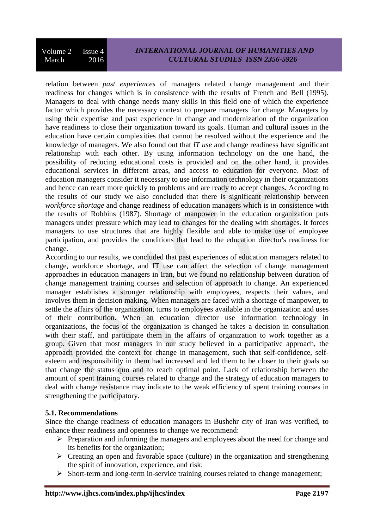relation between *past experiences* of managers related change management and their readiness for changes which is in consistence with the results of French and Bell (1995). Managers to deal with change needs many skills in this field one of which the experience factor which provides the necessary context to prepare managers for change. Managers by using their expertise and past experience in change and modernization of the organization have readiness to close their organization toward its goals. Human and cultural issues in the education have certain complexities that cannot be resolved without the experience and the knowledge of managers. We also found out that *IT use* and change readiness have significant relationship with each other. By using information technology on the one hand, the possibility of reducing educational costs is provided and on the other hand, it provides educational services in different areas, and access to education for everyone. Most of education managers consider it necessary to use information technology in their organizations and hence can react more quickly to problems and are ready to accept changes. According to the results of our study we also concluded that there is significant relationship between *workforce shortage* and change readiness of education managers which is in consistence with the results of Robbins (1987). Shortage of manpower in the education organization puts managers under pressure which may lead to changes for the dealing with shortages. It forces managers to use structures that are highly flexible and able to make use of employee participation, and provides the conditions that lead to the education director's readiness for change.

According to our results, we concluded that past experiences of education managers related to change, workforce shortage, and IT use can affect the selection of change management approaches in education managers in Iran, but we found no relationship between duration of change management training courses and selection of approach to change. An experienced manager establishes a stronger relationship with employees, respects their values, and involves them in decision making. When managers are faced with a shortage of manpower, to settle the affairs of the organization, turns to employees available in the organization and uses of their contribution. When an education director use information technology in organizations, the focus of the organization is changed he takes a decision in consultation with their staff, and participate them in the affairs of organization to work together as a group. Given that most managers in our study believed in a participative approach, the approach provided the context for change in management, such that self-confidence, selfesteem and responsibility in them had increased and led them to be closer to their goals so that change the status quo and to reach optimal point. Lack of relationship between the amount of spent training courses related to change and the strategy of education managers to deal with change resistance may indicate to the weak efficiency of spent training courses in strengthening the participatory.

## **5.1. Recommendations**

Since the change readiness of education managers in Bushehr city of Iran was verified, to enhance their readiness and openness to change we recommend:

- $\triangleright$  Preparation and informing the managers and employees about the need for change and its benefits for the organization;
- $\triangleright$  Creating an open and favorable space (culture) in the organization and strengthening the spirit of innovation, experience, and risk;
- $\triangleright$  Short-term and long-term in-service training courses related to change management;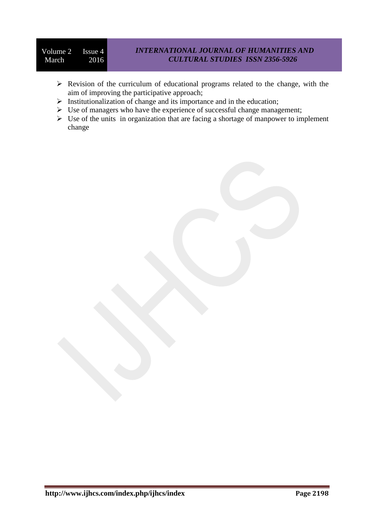- $\triangleright$  Revision of the curriculum of educational programs related to the change, with the aim of improving the participative approach;
- $\triangleright$  Institutionalization of change and its importance and in the education;
- $\triangleright$  Use of managers who have the experience of successful change management;
- $\triangleright$  Use of the units in organization that are facing a shortage of manpower to implement change